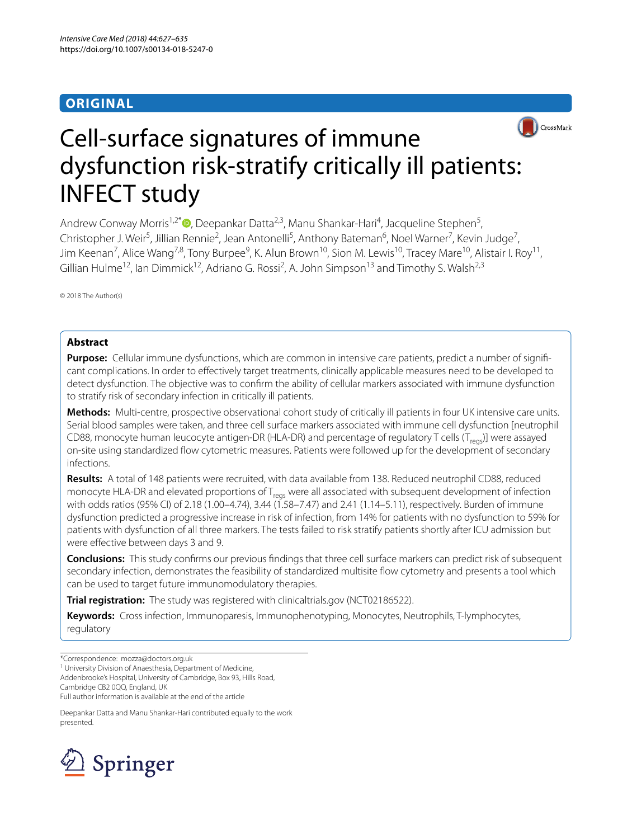## **ORIGINAL**



# Cell-surface signatures of immune dysfunction risk-stratify critically ill patients: INFECT study

Andrew Conway Morris<sup>1,2\*</sup> <sup>O</sup>[,](http://orcid.org/0000-0002-3211-3216) Deepankar Datta<sup>2,3</sup>, Manu Shankar-Hari<sup>4</sup>, Jacqueline Stephen<sup>5</sup>, Christopher J. Weir<sup>5</sup>, Jillian Rennie<sup>2</sup>, Jean Antonelli<sup>5</sup>, Anthony Bateman<sup>6</sup>, Noel Warner<sup>7</sup>, Kevin Judge<sup>7</sup>, Jim Keenan<sup>7</sup>, Alice Wang<sup>7,8</sup>, Tony Burpee<sup>9</sup>, K. Alun Brown<sup>10</sup>, Sion M. Lewis<sup>10</sup>, Tracey Mare<sup>10</sup>, Alistair I. Roy<sup>11</sup>, Gillian Hulme<sup>12</sup>, lan Dimmick<sup>12</sup>, Adriano G. Rossi<sup>2</sup>, A. John Simpson<sup>13</sup> and Timothy S. Walsh<sup>2,3</sup>

© 2018 The Author(s)

## **Abstract**

**Purpose:** Cellular immune dysfunctions, which are common in intensive care patients, predict a number of significant complications. In order to efectively target treatments, clinically applicable measures need to be developed to detect dysfunction. The objective was to confrm the ability of cellular markers associated with immune dysfunction to stratify risk of secondary infection in critically ill patients.

**Methods:** Multi-centre, prospective observational cohort study of critically ill patients in four UK intensive care units. Serial blood samples were taken, and three cell surface markers associated with immune cell dysfunction [neutrophil CD88, monocyte human leucocyte antigen-DR (HLA-DR) and percentage of regulatory T cells ( $T_{\text{reco}}$ )] were assayed on-site using standardized fow cytometric measures. Patients were followed up for the development of secondary infections.

**Results:** A total of 148 patients were recruited, with data available from 138. Reduced neutrophil CD88, reduced monocyte HLA-DR and elevated proportions of  $T_{\text{reas}}$  were all associated with subsequent development of infection with odds ratios (95% CI) of 2.18 (1.00–4.74), 3.44 (1.58–7.47) and 2.41 (1.14–5.11), respectively. Burden of immune dysfunction predicted a progressive increase in risk of infection, from 14% for patients with no dysfunction to 59% for patients with dysfunction of all three markers. The tests failed to risk stratify patients shortly after ICU admission but were effective between days 3 and 9.

**Conclusions:** This study confrms our previous fndings that three cell surface markers can predict risk of subsequent secondary infection, demonstrates the feasibility of standardized multisite fow cytometry and presents a tool which can be used to target future immunomodulatory therapies.

**Trial registration:** The study was registered with clinicaltrials.gov (NCT02186522).

**Keywords:** Cross infection, Immunoparesis, Immunophenotyping, Monocytes, Neutrophils, T-lymphocytes, regulatory

Addenbrooke's Hospital, University of Cambridge, Box 93, Hills Road, Cambridge CB2 0QQ, England, UK

Full author information is available at the end of the article

Deepankar Datta and Manu Shankar-Hari contributed equally to the work presented.



<sup>\*</sup>Correspondence: mozza@doctors.org.uk

<sup>&</sup>lt;sup>1</sup> University Division of Anaesthesia, Department of Medicine,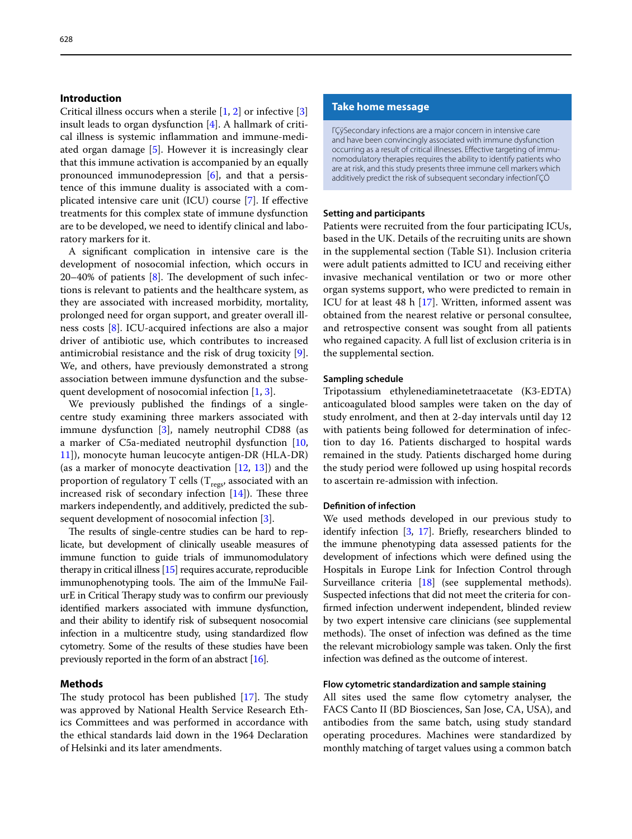## **Introduction**

Critical illness occurs when a sterile [[1,](#page-7-0) [2\]](#page-7-1) or infective [\[3](#page-7-2)] insult leads to organ dysfunction [[4](#page-7-3)]. A hallmark of critical illness is systemic infammation and immune-mediated organ damage [[5](#page-7-4)]. However it is increasingly clear that this immune activation is accompanied by an equally pronounced immunodepression [\[6](#page-7-5)], and that a persistence of this immune duality is associated with a complicated intensive care unit (ICU) course [\[7](#page-7-6)]. If efective treatments for this complex state of immune dysfunction are to be developed, we need to identify clinical and laboratory markers for it.

A signifcant complication in intensive care is the development of nosocomial infection, which occurs in  $20-40%$  of patients  $[8]$  $[8]$ . The development of such infections is relevant to patients and the healthcare system, as they are associated with increased morbidity, mortality, prolonged need for organ support, and greater overall illness costs [\[8\]](#page-7-7). ICU-acquired infections are also a major driver of antibiotic use, which contributes to increased antimicrobial resistance and the risk of drug toxicity [\[9](#page-7-8)]. We, and others, have previously demonstrated a strong association between immune dysfunction and the subsequent development of nosocomial infection [[1,](#page-7-0) [3](#page-7-2)].

We previously published the fndings of a singlecentre study examining three markers associated with immune dysfunction [\[3](#page-7-2)], namely neutrophil CD88 (as a marker of C5a-mediated neutrophil dysfunction [\[10](#page-7-9), [11\]](#page-7-10)), monocyte human leucocyte antigen-DR (HLA-DR) (as a marker of monocyte deactivation [\[12](#page-7-11), [13](#page-7-12)]) and the proportion of regulatory T cells ( $T_{\text{regs}}$ , associated with an increased risk of secondary infection  $[14]$  $[14]$ ). These three markers independently, and additively, predicted the subsequent development of nosocomial infection [\[3](#page-7-2)].

The results of single-centre studies can be hard to replicate, but development of clinically useable measures of immune function to guide trials of immunomodulatory therapy in critical illness [\[15\]](#page-7-14) requires accurate, reproducible immunophenotyping tools. The aim of the ImmuNe FailurE in Critical Therapy study was to confirm our previously identifed markers associated with immune dysfunction, and their ability to identify risk of subsequent nosocomial infection in a multicentre study, using standardized flow cytometry. Some of the results of these studies have been previously reported in the form of an abstract [[16](#page-7-15)].

## <span id="page-1-0"></span>**Methods**

The study protocol has been published  $[17]$  $[17]$ . The study was approved by National Health Service Research Ethics Committees and was performed in accordance with the ethical standards laid down in the 1964 Declaration of Helsinki and its later amendments.

#### **Take home message**

ΓÇÿSecondary infections are a major concern in intensive care and have been convincingly associated with immune dysfunction occurring as a result of critical illnesses. Effective targeting of immunomodulatory therapies requires the ability to identify patients who are at risk, and this study presents three immune cell markers which additively predict the risk of subsequent secondary infectionΓÇÖ

## **Setting and participants**

Patients were recruited from the four participating ICUs, based in the UK. Details of the recruiting units are shown in the supplemental section (Table S1). Inclusion criteria were adult patients admitted to ICU and receiving either invasive mechanical ventilation or two or more other organ systems support, who were predicted to remain in ICU for at least 48 h [[17](#page-7-16)]. Written, informed assent was obtained from the nearest relative or personal consultee, and retrospective consent was sought from all patients who regained capacity. A full list of exclusion criteria is in the supplemental section.

#### **Sampling schedule**

Tripotassium ethylenediaminetetraacetate (K3-EDTA) anticoagulated blood samples were taken on the day of study enrolment, and then at 2-day intervals until day 12 with patients being followed for determination of infection to day 16. Patients discharged to hospital wards remained in the study. Patients discharged home during the study period were followed up using hospital records to ascertain re-admission with infection.

## **Defnition of infection**

We used methods developed in our previous study to identify infection [\[3,](#page-7-2) [17\]](#page-7-16). Briefy, researchers blinded to the immune phenotyping data assessed patients for the development of infections which were defned using the Hospitals in Europe Link for Infection Control through Surveillance criteria [[18](#page-7-17)] (see supplemental methods). Suspected infections that did not meet the criteria for confrmed infection underwent independent, blinded review by two expert intensive care clinicians (see supplemental methods). The onset of infection was defined as the time the relevant microbiology sample was taken. Only the frst infection was defned as the outcome of interest.

## **Flow cytometric standardization and sample staining**

All sites used the same flow cytometry analyser, the FACS Canto II (BD Biosciences, San Jose, CA, USA), and antibodies from the same batch, using study standard operating procedures. Machines were standardized by monthly matching of target values using a common batch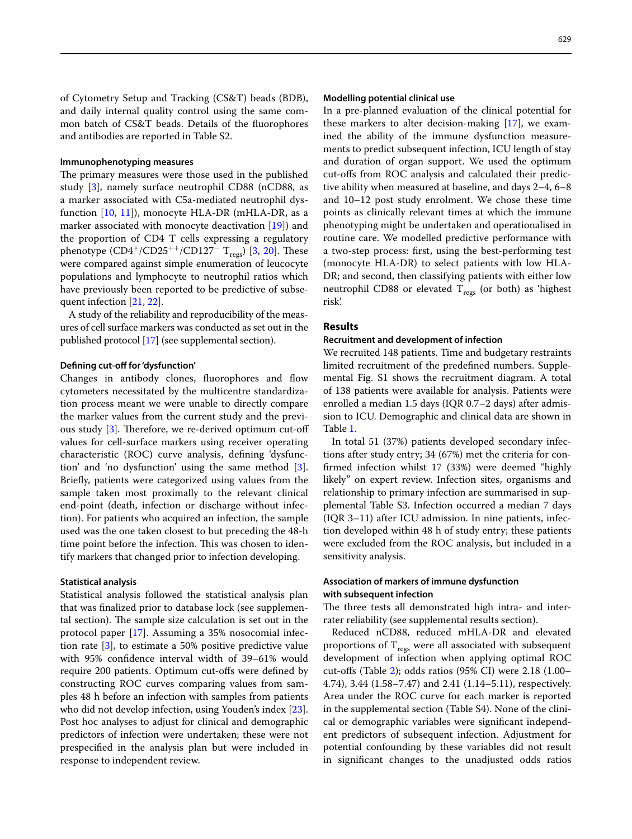of Cytometry Setup and Tracking (CS&T) beads (BDB), and daily internal quality control using the same common batch of CS&T beads. Details of the fuorophores and antibodies are reported in Table S2.

#### **Immunophenotyping measures**

The primary measures were those used in the published study [\[3](#page-7-2)], namely surface neutrophil CD88 (nCD88, as a marker associated with C5a-mediated neutrophil dysfunction [[10,](#page-7-9) [11](#page-7-10)]), monocyte HLA-DR (mHLA-DR, as a marker associated with monocyte deactivation [\[19\]](#page-7-18)) and the proportion of CD4 T cells expressing a regulatory phenotype  $(CD4^+/CD25^{++}/CD127^-$  T<sub>regs</sub>) [\[3,](#page-7-2) [20](#page-7-19)]. These were compared against simple enumeration of leucocyte populations and lymphocyte to neutrophil ratios which have previously been reported to be predictive of subsequent infection [[21](#page-8-0), [22\]](#page-8-1).

A study of the reliability and reproducibility of the measures of cell surface markers was conducted as set out in the published protocol [\[17\]](#page-7-16) (see supplemental section).

## **Defning cut‑of for'dysfunction'**

Changes in antibody clones, fluorophores and flow cytometers necessitated by the multicentre standardization process meant we were unable to directly compare the marker values from the current study and the previous study  $[3]$  $[3]$ . Therefore, we re-derived optimum cut-off values for cell-surface markers using receiver operating characteristic (ROC) curve analysis, defning 'dysfunction' and 'no dysfunction' using the same method [\[3](#page-7-2)]. Briefy, patients were categorized using values from the sample taken most proximally to the relevant clinical end-point (death, infection or discharge without infection). For patients who acquired an infection, the sample used was the one taken closest to but preceding the 48-h time point before the infection. This was chosen to identify markers that changed prior to infection developing.

#### **Statistical analysis**

Statistical analysis followed the statistical analysis plan that was fnalized prior to database lock (see supplemental section). The sample size calculation is set out in the protocol paper [[17\]](#page-7-16). Assuming a 35% nosocomial infection rate [[3\]](#page-7-2), to estimate a 50% positive predictive value with 95% confdence interval width of 39–61% would require 200 patients. Optimum cut-ofs were defned by constructing ROC curves comparing values from samples 48 h before an infection with samples from patients who did not develop infection, using Youden's index [\[23](#page-8-2)]. Post hoc analyses to adjust for clinical and demographic predictors of infection were undertaken; these were not prespecifed in the analysis plan but were included in response to independent review.

In a pre-planned evaluation of the clinical potential for these markers to alter decision-making [\[17](#page-7-16)], we examined the ability of the immune dysfunction measurements to predict subsequent infection, ICU length of stay and duration of organ support. We used the optimum cut-ofs from ROC analysis and calculated their predictive ability when measured at baseline, and days 2–4, 6–8 and 10–12 post study enrolment. We chose these time points as clinically relevant times at which the immune phenotyping might be undertaken and operationalised in routine care. We modelled predictive performance with a two-step process: frst, using the best-performing test (monocyte HLA-DR) to select patients with low HLA-DR; and second, then classifying patients with either low neutrophil CD88 or elevated  $T_{\text{regs}}$  (or both) as 'highest risk'.

## **Results**

#### **Recruitment and development of infection**

We recruited 148 patients. Time and budgetary restraints limited recruitment of the predefned numbers. Supplemental Fig. S1 shows the recruitment diagram. A total of 138 patients were available for analysis. Patients were enrolled a median 1.5 days (IQR 0.7–2 days) after admission to ICU. Demographic and clinical data are shown in Table [1](#page-3-0).

In total 51 (37%) patients developed secondary infections after study entry; 34 (67%) met the criteria for confrmed infection whilst 17 (33%) were deemed "highly likely" on expert review. Infection sites, organisms and relationship to primary infection are summarised in supplemental Table S3. Infection occurred a median 7 days (IQR 3–11) after ICU admission. In nine patients, infection developed within 48 h of study entry; these patients were excluded from the ROC analysis, but included in a sensitivity analysis.

## **Association of markers of immune dysfunction with subsequent infection**

The three tests all demonstrated high intra- and interrater reliability (see supplemental results section).

Reduced nCD88, reduced mHLA-DR and elevated proportions of  $T_{\text{regs}}$  were all associated with subsequent development of infection when applying optimal ROC cut-ofs (Table [2\)](#page-3-1); odds ratios (95% CI) were 2.18 (1.00– 4.74), 3.44 (1.58–7.47) and 2.41 (1.14–5.11), respectively. Area under the ROC curve for each marker is reported in the supplemental section (Table S4). None of the clinical or demographic variables were signifcant independent predictors of subsequent infection. Adjustment for potential confounding by these variables did not result in signifcant changes to the unadjusted odds ratios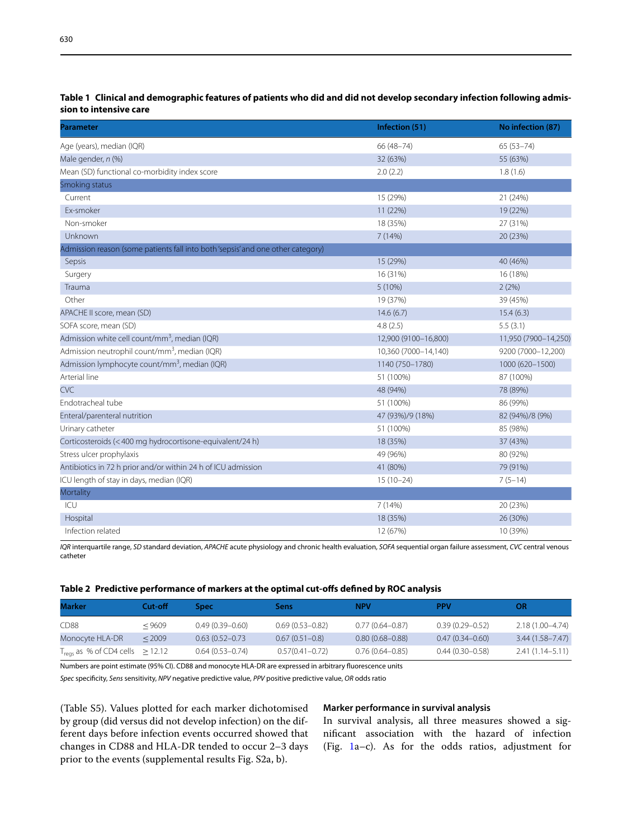| <b>Parameter</b>                                                                | Infection (51)       | No infection (87)    |
|---------------------------------------------------------------------------------|----------------------|----------------------|
| Age (years), median (IQR)                                                       | 66 (48-74)           | $65(53 - 74)$        |
| Male gender, n (%)                                                              | 32 (63%)             | 55 (63%)             |
| Mean (SD) functional co-morbidity index score                                   | 2.0(2.2)             | 1.8(1.6)             |
| Smoking status                                                                  |                      |                      |
| Current                                                                         | 15 (29%)             | 21 (24%)             |
| Ex-smoker                                                                       | 11 (22%)             | 19 (22%)             |
| Non-smoker                                                                      | 18 (35%)             | 27 (31%)             |
| Unknown                                                                         | 7(14%)               | 20 (23%)             |
| Admission reason (some patients fall into both 'sepsis' and one other category) |                      |                      |
| Sepsis                                                                          | 15 (29%)             | 40 (46%)             |
| Surgery                                                                         | 16 (31%)             | 16 (18%)             |
| Trauma                                                                          | 5 (10%)              | 2(2%)                |
| Other                                                                           | 19 (37%)             | 39 (45%)             |
| APACHE II score, mean (SD)                                                      | 14.6(6.7)            | 15.4(6.3)            |
| SOFA score, mean (SD)                                                           | 4.8(2.5)             | 5.5(3.1)             |
| Admission white cell count/mm <sup>3</sup> , median (IQR)                       | 12,900 (9100-16,800) | 11,950 (7900-14,250) |
| Admission neutrophil count/mm <sup>3</sup> , median (IQR)                       | 10,360 (7000-14,140) | 9200 (7000-12,200)   |
| Admission lymphocyte count/mm <sup>3</sup> , median (IQR)                       | 1140 (750-1780)      | 1000 (620-1500)      |
| Arterial line                                                                   | 51 (100%)            | 87 (100%)            |
| <b>CVC</b>                                                                      | 48 (94%)             | 78 (89%)             |
| Endotracheal tube                                                               | 51 (100%)            | 86 (99%)             |
| Enteral/parenteral nutrition                                                    | 47 (93%)/9 (18%)     | 82 (94%)/8 (9%)      |
| Urinary catheter                                                                | 51 (100%)            | 85 (98%)             |
| Corticosteroids (<400 mg hydrocortisone-equivalent/24 h)                        | 18 (35%)             | 37 (43%)             |
| Stress ulcer prophylaxis                                                        | 49 (96%)             | 80 (92%)             |
| Antibiotics in 72 h prior and/or within 24 h of ICU admission                   | 41 (80%)             | 79 (91%)             |
| ICU length of stay in days, median (IQR)                                        | $15(10-24)$          | $7(5-14)$            |
| Mortality                                                                       |                      |                      |
| ICU                                                                             | 7(14%)               | 20 (23%)             |
| Hospital                                                                        | 18 (35%)             | 26 (30%)             |
| Infection related                                                               | 12 (67%)             | 10 (39%)             |

## <span id="page-3-0"></span>**Table 1 Clinical and demographic features of patients who did and did not develop secondary infection following admission to intensive care**

*IQR* interquartile range, *SD* standard deviation, *APACHE* acute physiology and chronic health evaluation, *SOFA* sequential organ failure assessment, *CVC* central venous catheter

## <span id="page-3-1"></span>**Table 2 Predictive performance of markers at the optimal cut-ofs defned by ROC analysis**

| Marker                                           | Cut-off | Spec                | Sens                | <b>NPV</b>          | <b>PPV</b>          | OR                  |
|--------------------------------------------------|---------|---------------------|---------------------|---------------------|---------------------|---------------------|
| CD88                                             | < 9609  | $0.49(0.39 - 0.60)$ | $0.69(0.53 - 0.82)$ | $0.77(0.64 - 0.87)$ | $0.39(0.29 - 0.52)$ | 2.18 (1.00-4.74)    |
| Monocyte HLA-DR                                  | < 2009  | $0.63(0.52 - 0.73)$ | $0.67(0.51 - 0.8)$  | $0.80(0.68 - 0.88)$ | $0.47(0.34 - 0.60)$ | $3.44(1.58 - 7.47)$ |
| $T_{\text{regs}}$ as % of CD4 cells $\geq$ 12.12 |         | $0.64(0.53 - 0.74)$ | $0.57(0.41 - 0.72)$ | $0.76(0.64 - 0.85)$ | $0.44(0.30 - 0.58)$ | $2.41(1.14 - 5.11)$ |

Numbers are point estimate (95% CI). CD88 and monocyte HLA-DR are expressed in arbitrary fuorescence units

*Spec* specifcity, *Sens* sensitivity, *NPV* negative predictive value, *PPV* positive predictive value, *OR* odds ratio

(Table S5). Values plotted for each marker dichotomised by group (did versus did not develop infection) on the different days before infection events occurred showed that changes in CD88 and HLA-DR tended to occur 2–3 days prior to the events (supplemental results Fig. S2a, b).

## **Marker performance in survival analysis**

In survival analysis, all three measures showed a signifcant association with the hazard of infection (Fig. [1](#page-4-0)a–c). As for the odds ratios, adjustment for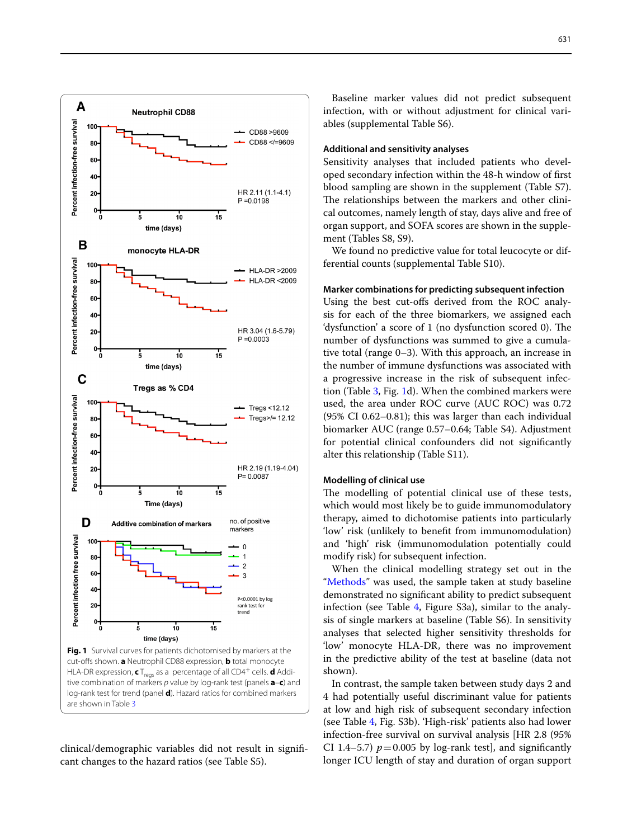

<span id="page-4-0"></span>tive combination of markers *p* value by log-rank test (panels **a**–**c**) and log-rank test for trend (panel **d**). Hazard ratios for combined markers are shown in Table [3](#page-5-0)

clinical/demographic variables did not result in signifcant changes to the hazard ratios (see Table S5).

Baseline marker values did not predict subsequent infection, with or without adjustment for clinical variables (supplemental Table S6).

#### **Additional and sensitivity analyses**

Sensitivity analyses that included patients who developed secondary infection within the 48-h window of frst blood sampling are shown in the supplement (Table S7). The relationships between the markers and other clinical outcomes, namely length of stay, days alive and free of organ support, and SOFA scores are shown in the supplement (Tables S8, S9).

We found no predictive value for total leucocyte or differential counts (supplemental Table S10).

## **Marker combinations for predicting subsequent infection**

Using the best cut-ofs derived from the ROC analysis for each of the three biomarkers, we assigned each 'dysfunction' a score of 1 (no dysfunction scored 0). The number of dysfunctions was summed to give a cumulative total (range 0–3). With this approach, an increase in the number of immune dysfunctions was associated with a progressive increase in the risk of subsequent infection (Table [3,](#page-5-0) Fig. [1d](#page-4-0)). When the combined markers were used, the area under ROC curve (AUC ROC) was 0.72 (95% CI 0.62–0.81); this was larger than each individual biomarker AUC (range 0.57–0.64; Table S4). Adjustment for potential clinical confounders did not signifcantly alter this relationship (Table S11).

#### **Modelling of clinical use**

The modelling of potential clinical use of these tests, which would most likely be to guide immunomodulatory therapy, aimed to dichotomise patients into particularly 'low' risk (unlikely to beneft from immunomodulation) and 'high' risk (immunomodulation potentially could modify risk) for subsequent infection.

When the clinical modelling strategy set out in the ["Methods"](#page-1-0) was used, the sample taken at study baseline demonstrated no signifcant ability to predict subsequent infection (see Table [4,](#page-6-0) Figure S3a), similar to the analysis of single markers at baseline (Table S6). In sensitivity analyses that selected higher sensitivity thresholds for 'low' monocyte HLA-DR, there was no improvement in the predictive ability of the test at baseline (data not shown).

In contrast, the sample taken between study days 2 and 4 had potentially useful discriminant value for patients at low and high risk of subsequent secondary infection (see Table [4](#page-6-0), Fig. S3b). 'High-risk' patients also had lower infection-free survival on survival analysis [HR 2.8 (95% CI 1.4–5.7)  $p = 0.005$  by log-rank test], and significantly longer ICU length of stay and duration of organ support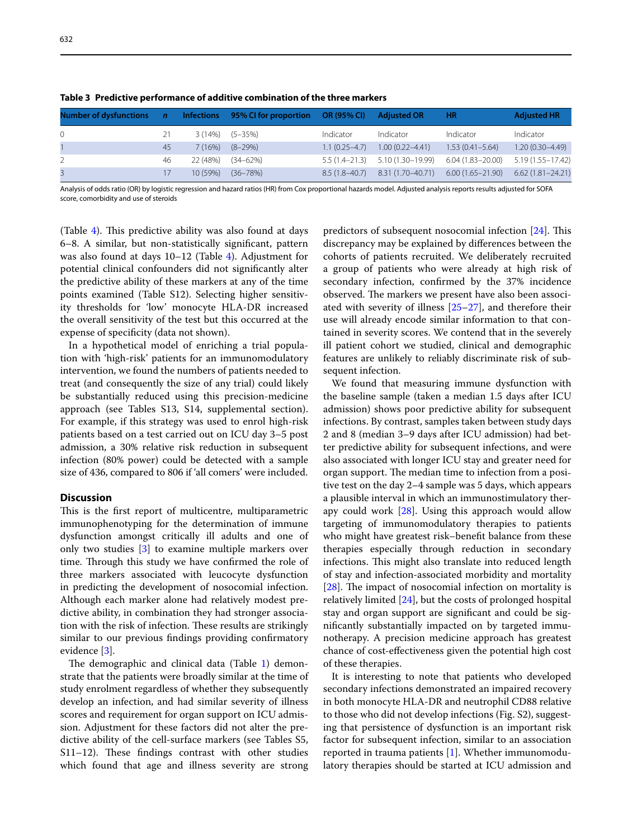632

| Number of dysfunctions n lnfections 95% CI for proportion OR (95% CI) Adjusted OR |    |          |                      |                   |                                                    | <b>HR</b>           | <b>Adjusted HR</b>   |
|-----------------------------------------------------------------------------------|----|----------|----------------------|-------------------|----------------------------------------------------|---------------------|----------------------|
| $\Omega$                                                                          | 21 |          | $3(14\%)$ $(5-35\%)$ | Indicator         | Indicator                                          | Indicator           | Indicator            |
|                                                                                   | 45 | 7 (16%)  | $(8-29%)$            | $1.1(0.25 - 4.7)$ | $1.00(0.22 - 4.41)$                                | $1.53(0.41 - 5.64)$ | $1.20(0.30 - 4.49)$  |
|                                                                                   | 46 |          | 22 (48%) (34–62%)    |                   | $5.5(1.4-21.3)$ $5.10(1.30-19.99)$                 | 6.04 (1.83–20.00)   | 5.19 (1.55-17.42)    |
| $\overline{3}$                                                                    |    | 10 (59%) | $(36 - 78%)$         |                   | 8.5 (1.8-40.7) 8.31 (1.70-40.71) 6.00 (1.65-21.90) |                     | $6.62(1.81 - 24.21)$ |

<span id="page-5-0"></span>**Table 3 Predictive performance of additive combination of the three markers**

Analysis of odds ratio (OR) by logistic regression and hazard ratios (HR) from Cox proportional hazards model. Adjusted analysis reports results adjusted for SOFA score, comorbidity and use of steroids

(Table [4\)](#page-6-0). This predictive ability was also found at days 6–8. A similar, but non-statistically signifcant, pattern was also found at days 10–12 (Table [4](#page-6-0)). Adjustment for potential clinical confounders did not signifcantly alter the predictive ability of these markers at any of the time points examined (Table S12). Selecting higher sensitivity thresholds for 'low' monocyte HLA-DR increased the overall sensitivity of the test but this occurred at the expense of specificity (data not shown).

In a hypothetical model of enriching a trial population with 'high-risk' patients for an immunomodulatory intervention, we found the numbers of patients needed to treat (and consequently the size of any trial) could likely be substantially reduced using this precision-medicine approach (see Tables S13, S14, supplemental section). For example, if this strategy was used to enrol high-risk patients based on a test carried out on ICU day 3–5 post admission, a 30% relative risk reduction in subsequent infection (80% power) could be detected with a sample size of 436, compared to 806 if 'all comers' were included.

## **Discussion**

This is the first report of multicentre, multiparametric immunophenotyping for the determination of immune dysfunction amongst critically ill adults and one of only two studies [[3\]](#page-7-2) to examine multiple markers over time. Through this study we have confirmed the role of three markers associated with leucocyte dysfunction in predicting the development of nosocomial infection. Although each marker alone had relatively modest predictive ability, in combination they had stronger association with the risk of infection. These results are strikingly similar to our previous fndings providing confrmatory evidence [\[3](#page-7-2)].

The demographic and clinical data (Table  $1$ ) demonstrate that the patients were broadly similar at the time of study enrolment regardless of whether they subsequently develop an infection, and had similar severity of illness scores and requirement for organ support on ICU admission. Adjustment for these factors did not alter the predictive ability of the cell-surface markers (see Tables S5, S11-12). These findings contrast with other studies which found that age and illness severity are strong

predictors of subsequent nosocomial infection  $[24]$  $[24]$ . This discrepancy may be explained by diferences between the cohorts of patients recruited. We deliberately recruited a group of patients who were already at high risk of secondary infection, confrmed by the 37% incidence observed. The markers we present have also been associated with severity of illness [\[25](#page-8-4)[–27](#page-8-5)], and therefore their use will already encode similar information to that contained in severity scores. We contend that in the severely ill patient cohort we studied, clinical and demographic features are unlikely to reliably discriminate risk of subsequent infection.

We found that measuring immune dysfunction with the baseline sample (taken a median 1.5 days after ICU admission) shows poor predictive ability for subsequent infections. By contrast, samples taken between study days 2 and 8 (median 3–9 days after ICU admission) had better predictive ability for subsequent infections, and were also associated with longer ICU stay and greater need for organ support. The median time to infection from a positive test on the day 2–4 sample was 5 days, which appears a plausible interval in which an immunostimulatory therapy could work  $[28]$  $[28]$ . Using this approach would allow targeting of immunomodulatory therapies to patients who might have greatest risk–beneft balance from these therapies especially through reduction in secondary infections. This might also translate into reduced length of stay and infection-associated morbidity and mortality  $[28]$  $[28]$ . The impact of nosocomial infection on mortality is relatively limited [[24\]](#page-8-3), but the costs of prolonged hospital stay and organ support are signifcant and could be signifcantly substantially impacted on by targeted immunotherapy. A precision medicine approach has greatest chance of cost-efectiveness given the potential high cost of these therapies.

It is interesting to note that patients who developed secondary infections demonstrated an impaired recovery in both monocyte HLA-DR and neutrophil CD88 relative to those who did not develop infections (Fig. S2), suggesting that persistence of dysfunction is an important risk factor for subsequent infection, similar to an association reported in trauma patients [[1\]](#page-7-0). Whether immunomodulatory therapies should be started at ICU admission and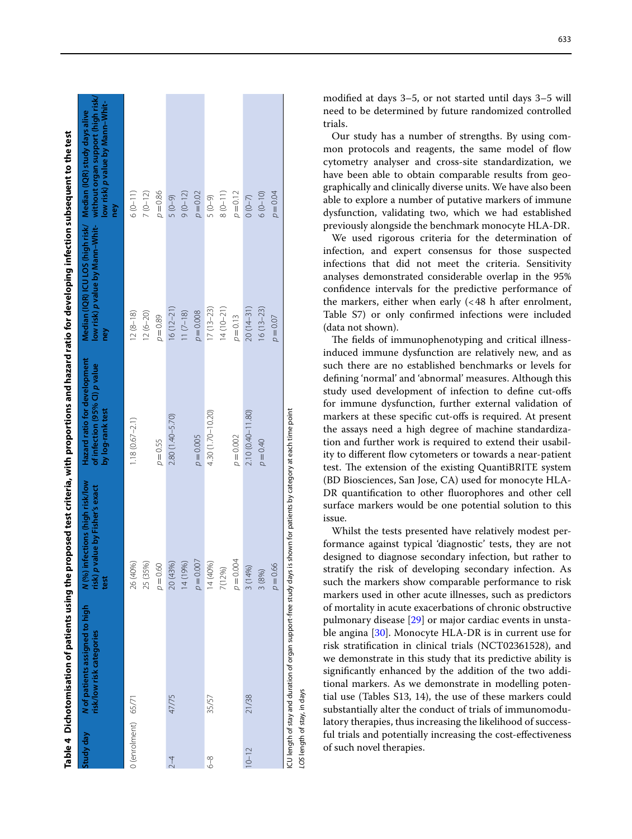<span id="page-6-0"></span>

|                     | Table 4 Dichotomisation of patients using the proposed test criteria, with proportions and hazard ratio for developing infection subsequent to the test |                                                                                 |                                                                                   |                                                                       |                                                                                                             |
|---------------------|---------------------------------------------------------------------------------------------------------------------------------------------------------|---------------------------------------------------------------------------------|-----------------------------------------------------------------------------------|-----------------------------------------------------------------------|-------------------------------------------------------------------------------------------------------------|
| Study day           | N of patients assigned to high<br>risk/low risk categories                                                                                              | N (%) infections (high risk/low<br>value by Fisher's exact<br>risk) p v<br>test | Hazard ratio for development<br>of infection (95% CI) p value<br>by log-rank test | Median (IQR) ICU LOS (high risk/ Median (IQR) study days alive<br>ney | low risk) p value by Mann-Whit- without organ support (high risk/<br>low risk) p value by Mann-Whit-<br>hey |
| 0 (enrolment) 65/71 |                                                                                                                                                         | 26 (40%)<br>25 (35%)                                                            | $1.18(0.67 - 2.1)$                                                                | $12(8-18)$<br>$12(6 - 20)$                                            | $6(0 - 11)$<br>$7(0-12)$                                                                                    |
|                     |                                                                                                                                                         | $\rho = 0.60$                                                                   | $p = 0.55$                                                                        | $p = 0.89$                                                            | $p = 0.86$                                                                                                  |
| $^{2-4}$            | 47/75                                                                                                                                                   | 20 (43%)                                                                        | 2.80 (1.40-5.70)                                                                  | $16(12-21)$                                                           | $(6 - 0)$ 5                                                                                                 |
|                     |                                                                                                                                                         | 14 (19%)                                                                        |                                                                                   | $11(7-18)$                                                            | $9(0 - 12)$                                                                                                 |
|                     |                                                                                                                                                         | $p = 0.007$                                                                     | $p = 0.005$                                                                       | $p = 0.008$                                                           | $p = 0.02$                                                                                                  |
| 89                  | 35/57                                                                                                                                                   | 14 (40%)                                                                        | 4.30 (1.70–10.20)                                                                 | $17(13-23)$                                                           | $(6 - 0)$ 5                                                                                                 |
|                     |                                                                                                                                                         | 7(12%)                                                                          |                                                                                   | $14(10-21)$                                                           | $8(0-11)$                                                                                                   |
|                     |                                                                                                                                                         | $p = 0.004$                                                                     | $p = 0.002$                                                                       | $p = 0.13$                                                            | $p = 0.12$                                                                                                  |
| $10 - 12$           | 21/38                                                                                                                                                   | 3 (14%)                                                                         | $2.10(0.40 - 11.80)$                                                              | $20(14-31)$                                                           | $0(0-7)$                                                                                                    |
|                     |                                                                                                                                                         | 3 (8%)                                                                          | $p = 0.40$                                                                        | $16(13-23)$                                                           | $6(0 - 10)$                                                                                                 |
|                     |                                                                                                                                                         | $p = 0.66$                                                                      |                                                                                   | $p = 0.07$                                                            | $p = 0.04$                                                                                                  |
|                     | ICU length of stay and duration of organ support-free study days is shown for patients by category at each time point                                   |                                                                                 |                                                                                   |                                                                       |                                                                                                             |

modifed at days 3–5, or not started until days 3–5 will need to be determined by future randomized controlled trials.

Our study has a number of strengths. By using com mon protocols and reagents, the same model of flow cytometry analyser and cross-site standardization, we have been able to obtain comparable results from geo graphically and clinically diverse units. We have also been able to explore a number of putative markers of immune dysfunction, validating two, which we had established previously alongside the benchmark monocyte HLA-DR.

We used rigorous criteria for the determination of infection, and expert consensus for those suspected infections that did not meet the criteria. Sensitivity analyses demonstrated considerable overlap in the 95% confdence intervals for the predictive performance of the markers, either when early  $\ll 48$  h after enrolment, Table S7) or only confrmed infections were included (data not shown).

The fields of immunophenotyping and critical illnessinduced immune dysfunction are relatively new, and as such there are no established benchmarks or levels for defning 'normal' and 'abnormal' measures. Although this study used development of infection to defne cut-ofs for immune dysfunction, further external validation of markers at these specifc cut-ofs is required. At present the assays need a high degree of machine standardiza tion and further work is required to extend their usabil ity to different flow cytometers or towards a near-patient test. The extension of the existing QuantiBRITE system (BD Biosciences, San Jose, CA) used for monocyte HLA-DR quantifcation to other fuorophores and other cell surface markers would be one potential solution to this issue.

Whilst the tests presented have relatively modest per formance against typical 'diagnostic' tests, they are not designed to diagnose secondary infection, but rather to stratify the risk of developing secondary infection. As such the markers show comparable performance to risk markers used in other acute illnesses, such as predictors of mortality in acute exacerbations of chronic obstructive pulmonary disease [\[29](#page-8-7)] or major cardiac events in unsta ble angina [\[30](#page-8-8)]. Monocyte HLA-DR is in current use for risk stratifcation in clinical trials (NCT02361528), and we demonstrate in this study that its predictive ability is signifcantly enhanced by the addition of the two addi tional markers. As we demonstrate in modelling poten tial use (Tables S13, 14), the use of these markers could substantially alter the conduct of trials of immunomodu latory therapies, thus increasing the likelihood of success ful trials and potentially increasing the cost-efectiveness of such novel therapies.

*LOS* length of stay, in days

SOI

length of stay, in days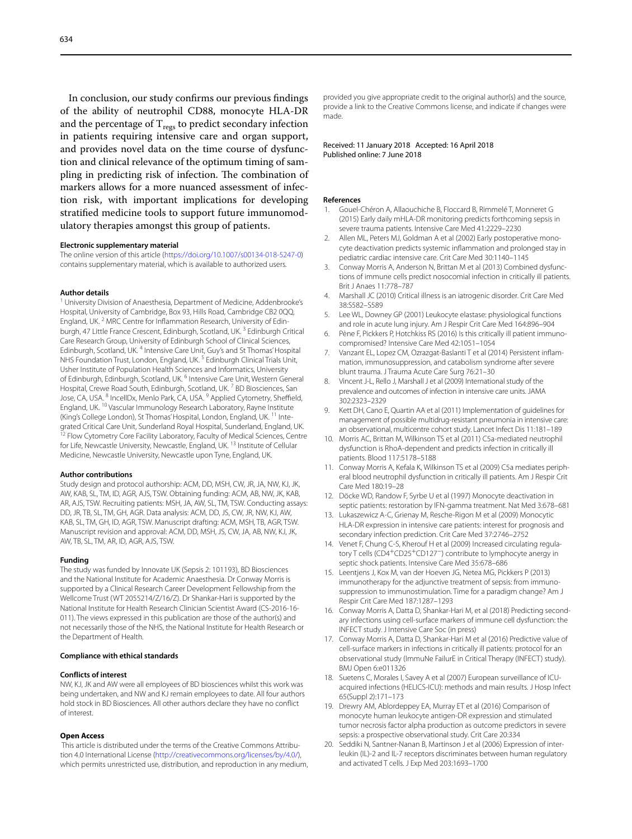In conclusion, our study confrms our previous fndings of the ability of neutrophil CD88, monocyte HLA-DR and the percentage of  $T_{\text{regs}}$  to predict secondary infection in patients requiring intensive care and organ support, and provides novel data on the time course of dysfunction and clinical relevance of the optimum timing of sampling in predicting risk of infection. The combination of markers allows for a more nuanced assessment of infection risk, with important implications for developing stratifed medicine tools to support future immunomodulatory therapies amongst this group of patients.

#### **Electronic supplementary material**

The online version of this article ([https://doi.org/10.1007/s00134-018-5247-0\)](https://doi.org/10.1007/s00134-018-5247-0) contains supplementary material, which is available to authorized users.

#### **Author details**

<sup>1</sup> University Division of Anaesthesia, Department of Medicine, Addenbrooke's Hospital, University of Cambridge, Box 93, Hills Road, Cambridge CB2 0QQ, England, UK.<sup>2</sup> MRC Centre for Inflammation Research, University of Edinburgh, 47 Little France Crescent, Edinburgh, Scotland, UK.<sup>3</sup> Edinburgh Critical Care Research Group, University of Edinburgh School of Clinical Sciences, Edinburgh, Scotland, UK. 4 Intensive Care Unit, Guy's and St Thomas' Hospital NHS Foundation Trust, London, England, UK.<sup>5</sup> Edinburgh Clinical Trials Unit, Usher Institute of Population Health Sciences and Informatics, University of Edinburgh, Edinburgh, Scotland, UK. 6 Intensive Care Unit, Western General Hospital, Crewe Road South, Edinburgh, Scotland, UK. 7 BD Biosciences, San Jose, CA, USA. <sup>8</sup> IncellDx, Menlo Park, CA, USA. <sup>9</sup> Applied Cytometry, Sheffield, England, UK. <sup>10</sup> Vascular Immunology Research Laboratory, Rayne Institute (King's College London), St Thomas' Hospital, London, England, UK.<sup>11</sup> Integrated Critical Care Unit, Sunderland Royal Hospital, Sunderland, England, UK. <sup>2</sup> Flow Cytometry Core Facility Laboratory, Faculty of Medical Sciences, Centre for Life, Newcastle University, Newcastle, England, UK. 13 Institute of Cellular Medicine, Newcastle University, Newcastle upon Tyne, England, UK.

#### **Author contributions**

Study design and protocol authorship: ACM, DD, MSH, CW, JR, JA, NW, KJ, JK, AW, KAB, SL, TM, ID, AGR, AJS, TSW. Obtaining funding: ACM, AB, NW, JK, KAB, AR, AJS, TSW. Recruiting patients: MSH, JA, AW, SL, TM, TSW. Conducting assays: DD, JR, TB, SL, TM, GH, AGR. Data analysis: ACM, DD, JS, CW, JR, NW, KJ, AW, KAB, SL, TM, GH, ID, AGR, TSW. Manuscript drafting: ACM, MSH, TB, AGR, TSW. Manuscript revision and approval: ACM, DD, MSH, JS, CW, JA, AB, NW, KJ, JK, AW, TB, SL, TM, AR, ID, AGR, AJS, TSW.

#### **Funding**

The study was funded by Innovate UK (Sepsis 2: 101193), BD Biosciences and the National Institute for Academic Anaesthesia. Dr Conway Morris is supported by a Clinical Research Career Development Fellowship from the Wellcome Trust (WT 2055214/Z/16/Z). Dr Shankar-Hari is supported by the National Institute for Health Research Clinician Scientist Award (CS-2016-16-011). The views expressed in this publication are those of the author(s) and not necessarily those of the NHS, the National Institute for Health Research or the Department of Health.

#### **Compliance with ethical standards**

#### **Conflicts of interest**

NW, KJ, JK and AW were all employees of BD biosciences whilst this work was being undertaken, and NW and KJ remain employees to date. All four authors hold stock in BD Biosciences. All other authors declare they have no confict of interest.

#### **Open Access**

This article is distributed under the terms of the Creative Commons Attribution 4.0 International License [\(http://creativecommons.org/licenses/by/4.0/\)](http://creativecommons.org/licenses/by/4.0/), which permits unrestricted use, distribution, and reproduction in any medium, provided you give appropriate credit to the original author(s) and the source, provide a link to the Creative Commons license, and indicate if changes were made.

#### Received: 11 January 2018 Accepted: 16 April 2018 Published online: 7 June 2018

#### **References**

- <span id="page-7-0"></span>1. Gouel-Chéron A, Allaouchiche B, Floccard B, Rimmelé T, Monneret G (2015) Early daily mHLA-DR monitoring predicts forthcoming sepsis in severe trauma patients. Intensive Care Med 41:2229–2230
- <span id="page-7-1"></span>2. Allen ML, Peters MJ, Goldman A et al (2002) Early postoperative monocyte deactivation predicts systemic infammation and prolonged stay in pediatric cardiac intensive care. Crit Care Med 30:1140–1145
- <span id="page-7-2"></span>3. Conway Morris A, Anderson N, Brittan M et al (2013) Combined dysfunctions of immune cells predict nosocomial infection in critically ill patients. Brit J Anaes 11:778–787
- <span id="page-7-3"></span>4. Marshall JC (2010) Critical illness is an iatrogenic disorder. Crit Care Med 38:S582–S589
- <span id="page-7-4"></span>5. Lee WL, Downey GP (2001) Leukocyte elastase: physiological functions and role in acute lung injury. Am J Respir Crit Care Med 164:896–904
- <span id="page-7-5"></span>6. Pène F, Pickkers P, Hotchkiss RS (2016) Is this critically ill patient immuno‑ compromised? Intensive Care Med 42:1051–1054
- <span id="page-7-6"></span>7. Vanzant EL, Lopez CM, Ozrazgat-Baslanti T et al (2014) Persistent inflammation, immunosuppression, and catabolism syndrome after severe blunt trauma. J Trauma Acute Care Surg 76:21–30
- <span id="page-7-7"></span>8. Vincent J-L, Rello J, Marshall J et al (2009) International study of the prevalence and outcomes of infection in intensive care units. JAMA 302:2323–2329
- <span id="page-7-8"></span>9. Kett DH, Cano E, Quartin AA et al (2011) Implementation of guidelines for management of possible multidrug-resistant pneumonia in intensive care: an observational, multicentre cohort study. Lancet Infect Dis 11:181–189
- <span id="page-7-9"></span>10. Morris AC, Brittan M, Wilkinson TS et al (2011) C5a-mediated neutrophil dysfunction is RhoA-dependent and predicts infection in critically ill patients. Blood 117:5178–5188
- <span id="page-7-10"></span>11. Conway Morris A, Kefala K, Wilkinson TS et al (2009) C5a mediates periph‑ eral blood neutrophil dysfunction in critically ill patients. Am J Respir Crit Care Med 180:19–28
- <span id="page-7-11"></span>12. Döcke WD, Randow F, Syrbe U et al (1997) Monocyte deactivation in septic patients: restoration by IFN-gamma treatment. Nat Med 3:678–681
- <span id="page-7-12"></span>13. Lukaszewicz A-C, Grienay M, Resche-Rigon M et al (2009) Monocytic HLA-DR expression in intensive care patients: interest for prognosis and secondary infection prediction. Crit Care Med 37:2746–2752
- <span id="page-7-13"></span>14. Venet F, Chung C-S, Kherouf H et al (2009) Increased circulating regulatory T cells (CD4<sup>+</sup>CD25<sup>+</sup>CD127<sup>-</sup>) contribute to lymphocyte anergy in septic shock patients. Intensive Care Med 35:678–686
- <span id="page-7-14"></span>15. Leentjens J, Kox M, van der Hoeven JG, Netea MG, Pickkers P (2013) immunotherapy for the adjunctive treatment of sepsis: from immunosuppression to immunostimulation. Time for a paradigm change? Am J Respir Crit Care Med 187:1287–1293
- <span id="page-7-15"></span>16. Conway Morris A, Datta D, Shankar-Hari M, et al (2018) Predicting secondary infections using cell-surface markers of immune cell dysfunction: the INFECT study. J Intensive Care Soc (in press)
- <span id="page-7-16"></span>17. Conway Morris A, Datta D, Shankar-Hari M et al (2016) Predictive value of cell-surface markers in infections in critically ill patients: protocol for an observational study (ImmuNe FailurE in Critical Therapy (INFECT) study). BMJ Open 6:e011326
- <span id="page-7-17"></span>18. Suetens C, Morales I, Savey A et al (2007) European surveillance of ICUacquired infections (HELICS-ICU): methods and main results. J Hosp Infect 65(Suppl 2):171–173
- <span id="page-7-18"></span>19. Drewry AM, Ablordeppey EA, Murray ET et al (2016) Comparison of monocyte human leukocyte antigen-DR expression and stimulated tumor necrosis factor alpha production as outcome predictors in severe sepsis: a prospective observational study. Crit Care 20:334
- <span id="page-7-19"></span>20. Seddiki N, Santner-Nanan B, Martinson J et al (2006) Expression of interleukin (IL)-2 and IL-7 receptors discriminates between human regulatory and activated T cells. J Exp Med 203:1693–1700